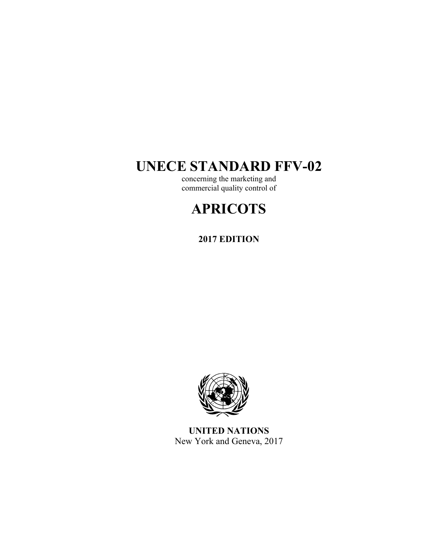## **UNECE STANDARD FFV-02**

concerning the marketing and commercial quality control of

# **APRICOTS**

**2017 EDITION** 



**UNITED NATIONS**  New York and Geneva, 2017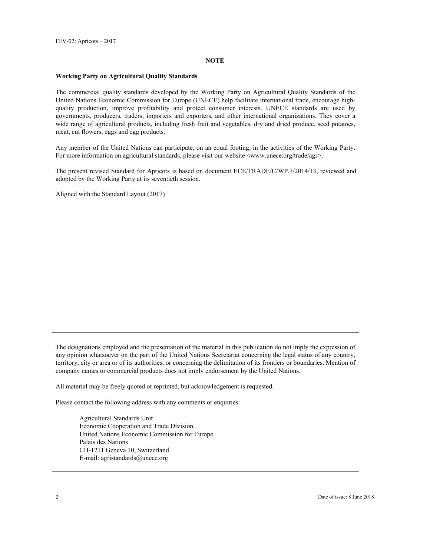#### **NOTE**

#### **Working Party on Agricultural Quality Standards**

The commercial quality standards developed by the Working Party on Agricultural Quality Standards of the United Nations Economic Commission for Europe (UNECE) help facilitate international trade, encourage highquality production, improve profitability and protect consumer interests. UNECE standards are used by governments, producers, traders, importers and exporters, and other international organizations. They cover a wide range of agricultural products, including fresh fruit and vegetables, dry and dried produce, seed potatoes, meat, cut flowers, eggs and egg products.

Any member of the United Nations can participate, on an equal footing, in the activities of the Working Party. For more information on agricultural standards, please visit our website <www.unece.org/trade/agr>.

The present revised Standard for Apricots is based on document ECE/TRADE/C/WP.7/2014/13, reviewed and adopted by the Working Party at its seventieth session.

Aligned with the Standard Layout (2017)

The designations employed and the presentation of the material in this publication do not imply the expression of any opinion whatsoever on the part of the United Nations Secretariat concerning the legal status of any country, territory, city or area or of its authorities, or concerning the delimitation of its frontiers or boundaries. Mention of company names or commercial products does not imply endorsement by the United Nations.

All material may be freely quoted or reprinted, but acknowledgement is requested.

Please contact the following address with any comments or enquiries:

Agricultural Standards Unit Economic Cooperation and Trade Division United Nations Economic Commission for Europe Palais des Nations CH-1211 Geneva 10, Switzerland E-mail: agristandards@unece.org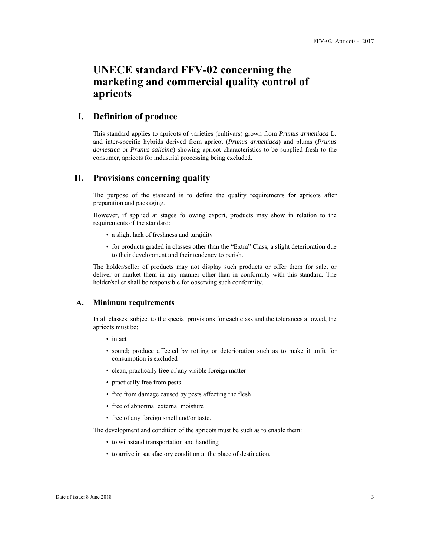## **UNECE standard FFV-02 concerning the marketing and commercial quality control of apricots**

## **I. Definition of produce**

This standard applies to apricots of varieties (cultivars) grown from *Prunus armeniaca* L. and inter-specific hybrids derived from apricot (*Prunus armeniaca*) and plums (*Prunus domestica* or *Prunus salicina*) showing apricot characteristics to be supplied fresh to the consumer, apricots for industrial processing being excluded.

## **II. Provisions concerning quality**

The purpose of the standard is to define the quality requirements for apricots after preparation and packaging.

However, if applied at stages following export, products may show in relation to the requirements of the standard:

- a slight lack of freshness and turgidity
- for products graded in classes other than the "Extra" Class, a slight deterioration due to their development and their tendency to perish.

The holder/seller of products may not display such products or offer them for sale, or deliver or market them in any manner other than in conformity with this standard. The holder/seller shall be responsible for observing such conformity.

## **A. Minimum requirements**

In all classes, subject to the special provisions for each class and the tolerances allowed, the apricots must be:

- intact
- sound; produce affected by rotting or deterioration such as to make it unfit for consumption is excluded
- clean, practically free of any visible foreign matter
- practically free from pests
- free from damage caused by pests affecting the flesh
- free of abnormal external moisture
- free of any foreign smell and/or taste.

The development and condition of the apricots must be such as to enable them:

- to withstand transportation and handling
- to arrive in satisfactory condition at the place of destination.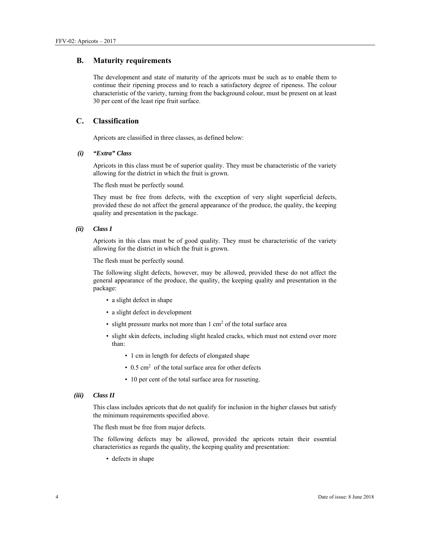#### **B. Maturity requirements**

The development and state of maturity of the apricots must be such as to enable them to continue their ripening process and to reach a satisfactory degree of ripeness. The colour characteristic of the variety, turning from the background colour, must be present on at least 30 per cent of the least ripe fruit surface.

## **C. Classification**

Apricots are classified in three classes, as defined below:

#### *(i) "Extra" Class*

Apricots in this class must be of superior quality. They must be characteristic of the variety allowing for the district in which the fruit is grown.

The flesh must be perfectly sound.

They must be free from defects, with the exception of very slight superficial defects, provided these do not affect the general appearance of the produce, the quality, the keeping quality and presentation in the package.

*(ii) Class I* 

Apricots in this class must be of good quality. They must be characteristic of the variety allowing for the district in which the fruit is grown.

The flesh must be perfectly sound.

The following slight defects, however, may be allowed, provided these do not affect the general appearance of the produce, the quality, the keeping quality and presentation in the package:

- a slight defect in shape
- a slight defect in development
- $\cdot$  slight pressure marks not more than 1 cm<sup>2</sup> of the total surface area
- slight skin defects, including slight healed cracks, which must not extend over more than:
	- 1 cm in length for defects of elongated shape
	- 0.5 cm<sup>2</sup> of the total surface area for other defects
	- 10 per cent of the total surface area for russeting.

#### *(iii) Class II*

This class includes apricots that do not qualify for inclusion in the higher classes but satisfy the minimum requirements specified above.

The flesh must be free from major defects.

The following defects may be allowed, provided the apricots retain their essential characteristics as regards the quality, the keeping quality and presentation:

• defects in shape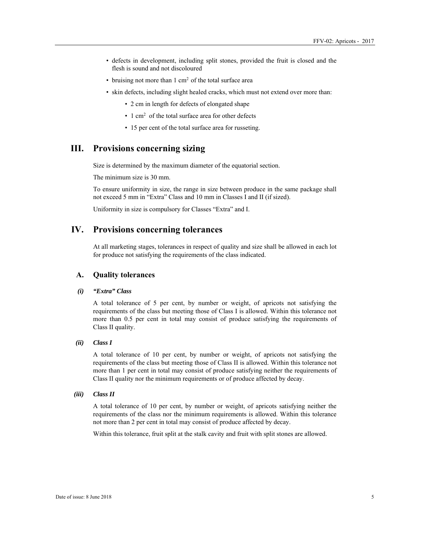- defects in development, including split stones, provided the fruit is closed and the flesh is sound and not discoloured
- bruising not more than  $1 \text{ cm}^2$  of the total surface area
- skin defects, including slight healed cracks, which must not extend over more than:
	- 2 cm in length for defects of elongated shape
	- 1 cm<sup>2</sup> of the total surface area for other defects
	- 15 per cent of the total surface area for russeting.

## **III. Provisions concerning sizing**

Size is determined by the maximum diameter of the equatorial section.

The minimum size is 30 mm.

To ensure uniformity in size, the range in size between produce in the same package shall not exceed 5 mm in "Extra" Class and 10 mm in Classes I and II (if sized).

Uniformity in size is compulsory for Classes "Extra" and I.

## **IV. Provisions concerning tolerances**

At all marketing stages, tolerances in respect of quality and size shall be allowed in each lot for produce not satisfying the requirements of the class indicated.

#### **A. Quality tolerances**

#### *(i) "Extra" Class*

A total tolerance of 5 per cent, by number or weight, of apricots not satisfying the requirements of the class but meeting those of Class I is allowed. Within this tolerance not more than 0.5 per cent in total may consist of produce satisfying the requirements of Class II quality.

#### *(ii) Class I*

A total tolerance of 10 per cent, by number or weight, of apricots not satisfying the requirements of the class but meeting those of Class II is allowed. Within this tolerance not more than 1 per cent in total may consist of produce satisfying neither the requirements of Class II quality nor the minimum requirements or of produce affected by decay.

#### *(iii) Class II*

A total tolerance of 10 per cent, by number or weight, of apricots satisfying neither the requirements of the class nor the minimum requirements is allowed. Within this tolerance not more than 2 per cent in total may consist of produce affected by decay.

Within this tolerance, fruit split at the stalk cavity and fruit with split stones are allowed.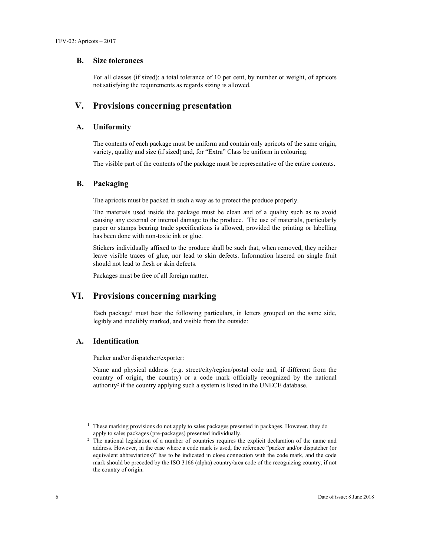#### **B. Size tolerances**

For all classes (if sized): a total tolerance of 10 per cent, by number or weight, of apricots not satisfying the requirements as regards sizing is allowed.

## **V. Provisions concerning presentation**

## **A. Uniformity**

The contents of each package must be uniform and contain only apricots of the same origin, variety, quality and size (if sized) and, for "Extra" Class be uniform in colouring.

The visible part of the contents of the package must be representative of the entire contents.

## **B. Packaging**

The apricots must be packed in such a way as to protect the produce properly.

The materials used inside the package must be clean and of a quality such as to avoid causing any external or internal damage to the produce. The use of materials, particularly paper or stamps bearing trade specifications is allowed, provided the printing or labelling has been done with non-toxic ink or glue.

Stickers individually affixed to the produce shall be such that, when removed, they neither leave visible traces of glue, nor lead to skin defects. Information lasered on single fruit should not lead to flesh or skin defects.

Packages must be free of all foreign matter.

## **VI. Provisions concerning marking**

Each package<sup>1</sup> must bear the following particulars, in letters grouped on the same side, legibly and indelibly marked, and visible from the outside:

## **A. Identification**

Packer and/or dispatcher/exporter:

Name and physical address (e.g. street/city/region/postal code and, if different from the country of origin, the country) or a code mark officially recognized by the national authority<sup>2</sup> if the country applying such a system is listed in the UNECE database.

 $\overline{a}$ 

 $1$  These marking provisions do not apply to sales packages presented in packages. However, they do

apply to sales packages (pre-packages) presented individually.<br><sup>2</sup> The national legislation of a number of countries requires the explicit declaration of the name and address. However, in the case where a code mark is used, the reference "packer and/or dispatcher (or equivalent abbreviations)" has to be indicated in close connection with the code mark, and the code mark should be preceded by the ISO 3166 (alpha) country/area code of the recognizing country, if not the country of origin.